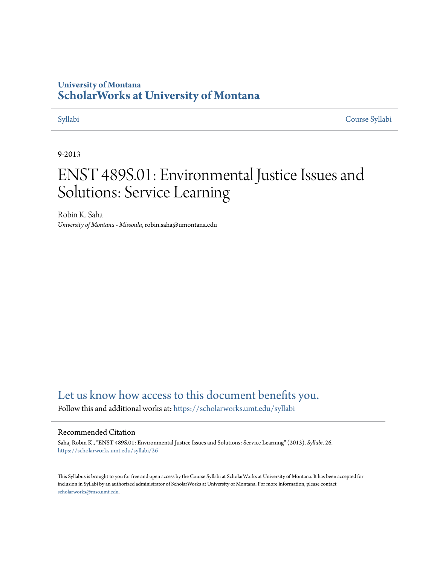# **University of Montana [ScholarWorks at University of Montana](https://scholarworks.umt.edu?utm_source=scholarworks.umt.edu%2Fsyllabi%2F26&utm_medium=PDF&utm_campaign=PDFCoverPages)**

[Syllabi](https://scholarworks.umt.edu/syllabi?utm_source=scholarworks.umt.edu%2Fsyllabi%2F26&utm_medium=PDF&utm_campaign=PDFCoverPages) [Course Syllabi](https://scholarworks.umt.edu/course_syllabi?utm_source=scholarworks.umt.edu%2Fsyllabi%2F26&utm_medium=PDF&utm_campaign=PDFCoverPages)

### 9-2013

# ENST 489S.01: Environmental Justice Issues and Solutions: Service Learning

Robin K. Saha *University of Montana - Missoula*, robin.saha@umontana.edu

# [Let us know how access to this document benefits you.](https://goo.gl/forms/s2rGfXOLzz71qgsB2)

Follow this and additional works at: [https://scholarworks.umt.edu/syllabi](https://scholarworks.umt.edu/syllabi?utm_source=scholarworks.umt.edu%2Fsyllabi%2F26&utm_medium=PDF&utm_campaign=PDFCoverPages)

#### Recommended Citation

Saha, Robin K., "ENST 489S.01: Environmental Justice Issues and Solutions: Service Learning" (2013). *Syllabi*. 26. [https://scholarworks.umt.edu/syllabi/26](https://scholarworks.umt.edu/syllabi/26?utm_source=scholarworks.umt.edu%2Fsyllabi%2F26&utm_medium=PDF&utm_campaign=PDFCoverPages)

This Syllabus is brought to you for free and open access by the Course Syllabi at ScholarWorks at University of Montana. It has been accepted for inclusion in Syllabi by an authorized administrator of ScholarWorks at University of Montana. For more information, please contact [scholarworks@mso.umt.edu](mailto:scholarworks@mso.umt.edu).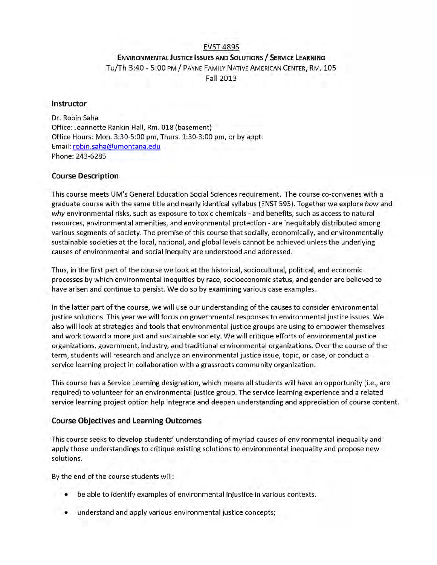## EVST 489S **ENVIRONMENTAL JUSTICE ISSUES AND SOLUTIONS / SERVICE LEARNING** Tu/Th 3:40 - 5:00 PM / PAYNE FAMILY NATIVE AMERICAN CENTER, RM. 105 Fall 2013

#### **Instructor**

Dr. Robin Saha Office: Jeannette Rankin Hall, Rm. 018 (basement) Office Hours: Mon. 3:30-5:00 pm, Thurs. 1:30-3:00 pm, or by appt. Email: robin.saha@umontana.edu Phone: 243-6285

#### **Course Description**

This course meets UM's General Education Social Sciences requirement. The course co-convenes with a graduate course with the same title and nearly identical syllabus (ENST 595). Together we explore *how* and *why* environmental risks, such as exposure to toxic chemicals - and benefits, such as access to natural resources, environmental amenities, and environmental protection - are inequitably distributed among various segments of society. The premise of this course that socially, economically, and environmentally sustainable societies at the local, national, and global levels cannot be achieved unless the underlying causes of environmental and social inequity are understood and addressed.

Thus, in the first part of the course we look at the historical, sociocultural, political, and economic processes by which environmental inequities by race, socioeconomic status, and gender are believed to have arisen and continue to persist. We do so by examining various case examples.

In the latter part of the course, we will use our understanding of the causes to consider environmental justice solutions. This year we will focus on governmental responses to environmental justice issues. We also will look at strategies and tools that environmental justice groups are using to empower themselves and work toward a more just and sustainable society. We will critique efforts of environmental justice organizations, government, industry, and traditional environmental organizations. Over the course of the term , students will research and analyze an environmental justice issue, topic, or case, or conduct a service learning project in collaboration with a grassroots community organization.

This course has a Service Learning designation, which means all students will have an opportunity (i.e., are required) to volunteer for an environmental justice group. The service learning experience and a related service learning project option help integrate and deepen understanding and appreciation of course content.

#### **Course Objectives and Learning Outcomes**

This course seeks to develop students' understanding of myriad causes of environmental inequality and apply those understandings to critique existing solutions to environmental inequality and propose new solutions.

By the end of the course students will:

- be able to identify examples of environmental injustice in various contexts.
- understand and apply various environmental justice concepts;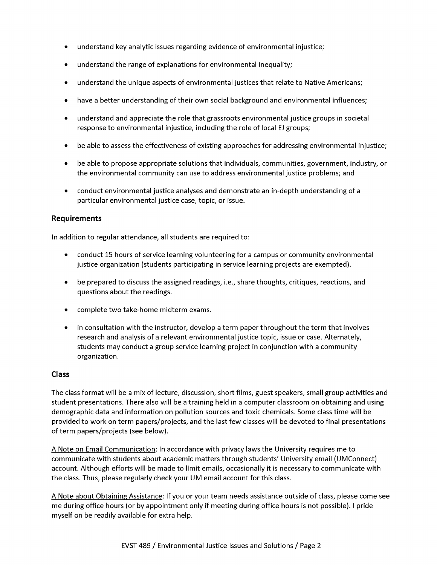- understand key analytic issues regarding evidence of environmental injustice;  $\bullet$
- understand the range of explanations for environmental inequality;  $\bullet$
- understand the unique aspects of environmental justices that relate to Native Americans;
- have a better understanding of their own social background and environmental influences;
- understand and appreciate the role that grassroots environmental justice groups in societal  $\bullet$ response to environmental injustice, including the role of local EJ groups;
- be able to assess the effectiveness of existing approaches for addressing environmental injustice;
- $\bullet$ be able to propose appropriate solutions that individuals, communities, government, industry, or the environmental community can use to address environmental justice problems; and
- conduct environmental justice analyses and demonstrate an in-depth understanding of a particular environmental justice case, topic, or issue.

#### **Requirements**

In addition to regular attendance, all students are required to:

- conduct 15 hours of service learning volunteering for a campus or community environmental justice organization (students participating in service learning projects are exempted).
- be prepared to discuss the assigned readings, i.e., share thoughts, critiques, reactions, and questions about the readings.
- complete two take-home midterm exams.
- in consultation with the instructor, develop a term paper throughout the term that involves research and analysis of a relevant environmental justice topic, issue or case. Alternately, students may conduct a group service learning project in conjunction with a community organization.

#### **Class**

The class format will be a mix of lecture, discussion, short films, guest speakers, small group activities and student presentations. There also will be a training held in a computer classroom on obtaining and using demographic data and information on pollution sources and toxic chemicals. Some class time will be provided to work on term papers/projects, and the last few classes will be devoted to final presentations of term papers/projects (see below).

A Note on Email Communication: In accordance with privacy laws the University requires me to communicate with students about academic matters through students' University email (UMConnect) account. Although efforts will be made to limit emails, occasionally it is necessary to communicate with the class. Thus, please regularly check your UM email account for this class.

A Note about Obtaining Assistance: If you or your team needs assistance outside of class, please come see me during office hours (or by appointment only if meeting during office hours is not possible). I pride myself on be readily available for extra help.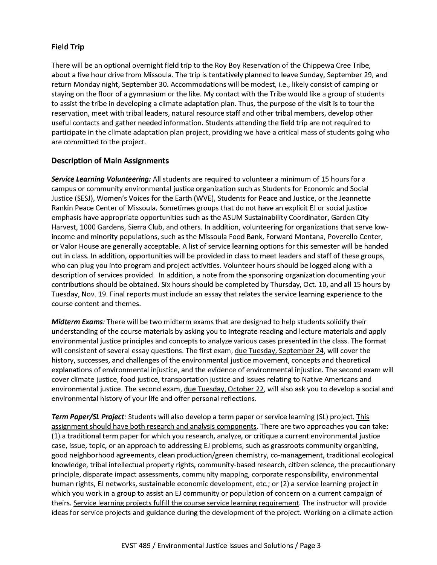#### **Field Trip**

There will be an optional overnight field trip to the Roy Boy Reservation of the Chippewa Cree Tribe, about a five hour drive from Missoula. The trip is tentatively planned to leave Sunday, September 29, and return Monday night, September 30. Accommodations will be modest, i.e., likely consist of camping or staying on the floor of a gymnasium or the like. My contact with the Tribe would like a group of students to assist the tribe in developing a climate adaptation plan. Thus, the purpose of the visit is to tour the reservation, meet with tribal leaders, natural resource staff and other tribal members, develop other useful contacts and gather needed information. Students attending the field trip are not required to participate in the climate adaptation plan project, providing we have a critical mass of students going who are committed to the project.

#### **Description of Main Assignments**

*Service Learning Volunteering:* All students are required to volunteer a minimum of 15 hours for a campus or community environmental justice organization such as Students for Economic and Social Justice (SESJ), Women's Voices for the Earth (WVE), Students for Peace and Justice, or the Jeannette Rankin Peace Center of Missoula. Sometimes groups that do not have an explicit EJ or social justice emphasis have appropriate opportunities such as the ASUM Sustainability Coordinator, Garden City Harvest, 1000 Gardens, Sierra Club, and others. In addition, volunteering for organizations that serve lowincome and minority populations, such as the Missoula Food Bank, Forward Montana, Poverello Center, or Valor House are generally acceptable. A list of service learning options for this semester will be handed out in class. In addition, opportunities will be provided in class to meet leaders and staff of these groups, who can plug you into program and project activities. Volunteer hours should be logged along with a description of services provided. In addition, a note from the sponsoring organization documenting your contributions should be obtained. Six hours should be completed by Thursday, Oct. 10, and all 15 hours by Tuesday, Nov. 19. Final reports must include an essay that relates the service learning experience to the course content and themes.

*Midterm Exams:* There will be two midterm exams that are designed to help students solidify their understanding of the course materials by asking you to integrate reading and lecture materials and apply environmental justice principles and concepts to analyze various cases presented in the class. The format will consistent of several essay questions. The first exam, due Tuesday, September 24, will cover the history, successes, and challenges of the environmental justice movement, concepts and theoretical explanations of environmental injustice, and the evidence of environmental injustice. The second exam will cover climate justice, food justice, transportation justice and issues relating to Native Americans and environmental justice. The second exam, due Tuesday, October 22, will also ask you to develop a social and environmental history of your life and offer personal reflections.

*Term Paper/SL Project:* Students will also develop a term paper or service learning (SL) project. This assignment should have both research and analysis components. There are two approaches you can take: (1) a traditional term paper for which you research, analyze, or critique a current environmental justice case, issue, topic, or an approach to addressing EJ problems, such as grassroots community organizing, good neighborhood agreements, clean production/green chemistry, co-management, traditional ecological knowledge, tribal intellectual property rights, community-based research, citizen science, the precautionary principle, disparate impact assessments, community mapping, corporate responsibility, environmental human rights, EJ networks, sustainable economic development, etc.; or (2) a service learning project in which you work in a group to assist an EJ community or population of concern on a current campaign of theirs. Service learning projects fulfill the course service learning requirem ent. The instructor will provide ideas for service projects and guidance during the development of the project. Working on a climate action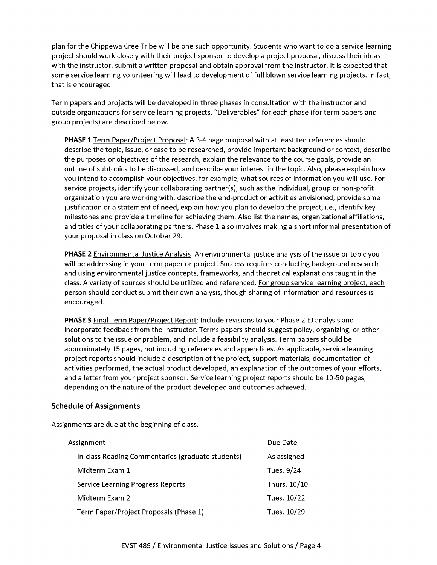plan for the Chippewa Cree Tribe will be one such opportunity. Students who want to do a service learning project should work closely w ith their project sponsor to develop a project proposal, discuss their ideas with the instructor, submit a written proposal and obtain approval from the instructor. It is expected that some service learning volunteering will lead to development of full blown service learning projects. In fact, that is encouraged.

Term papers and projects will be developed in three phases in consultation with the instructor and outside organizations for service learning projects. "Deliverables" for each phase (for term papers and group projects) are described below.

**PHASE 1** Term Paper/Project Proposal: A 3-4 page proposal with at least ten references should describe the topic, issue, or case to be researched, provide important background or context, describe the purposes or objectives of the research, explain the relevance to the course goals, provide an outline of subtopics to be discussed, and describe your interest in the topic. Also, please explain how you intend to accomplish your objectives, for example, what sources of information you will use. For service projects, identify your collaborating partner(s), such as the individual, group or non-profit organization you are working with, describe the end-product or activities envisioned, provide some justification or a statement of need, explain how you plan to develop the project, i.e., identify key milestones and provide a timeline for achieving them. Also list the names, organizational affiliations, and titles of your collaborating partners. Phase 1 also involves making a short informal presentation of your proposal in class on October 29.

**PHASE 2** Environmental Justice Analysis: An environmental justice analysis of the issue or topic you will be addressing in your term paper or project. Success requires conducting background research and using environmental justice concepts, frameworks, and theoretical explanations taught in the class. A variety of sources should be utilized and referenced. For group service learning project, each person should conduct submit their own analysis, though sharing of information and resources is encouraged.

**PHASE 3** Final Term Paper/Project Report: Include revisions to your Phase 2 EJ analysis and incorporate feedback from the instructor. Terms papers should suggest policy, organizing, or other solutions to the issue or problem, and include a feasibility analysis. Term papers should be approximately 15 pages, not including references and appendices. As applicable, service learning project reports should include a description of the project, support materials, documentation of activities performed, the actual product developed, an explanation of the outcomes of your efforts, and a letter from your project sponsor. Service learning project reports should be 10-50 pages, depending on the nature of the product developed and outcomes achieved.

#### **Schedule of Assignments**

Assignments are due at the beginning of class.

| Assignment                                        | Due Date     |
|---------------------------------------------------|--------------|
| In-class Reading Commentaries (graduate students) | As assigned  |
| Midterm Exam 1                                    | Tues. 9/24   |
| Service Learning Progress Reports                 | Thurs. 10/10 |
| Midterm Exam 2                                    | Tues. 10/22  |
| Term Paper/Project Proposals (Phase 1)            | Tues. 10/29  |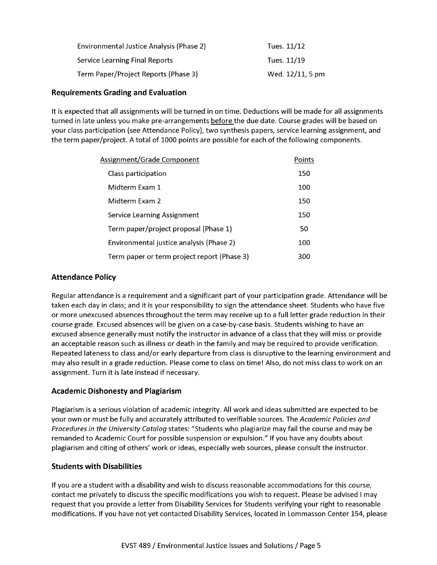| Environmental Justice Analysis (Phase 2) | Tues. 11/12      |
|------------------------------------------|------------------|
| <b>Service Learning Final Reports</b>    | Tues. 11/19      |
| Term Paper/Project Reports (Phase 3)     | Wed. 12/11, 5 pm |

#### **Requirements Grading and Evaluation**

It is expected that all assignments will be turned in on time. Deductions will be made for all assignments turned in late unless you make pre-arrangements before the due date. Course grades will be based on your class participation (see Attendance Policy), two synthesis papers, service learning assignment, and the term paper/project. A total of 1000 points are possible for each of the following components.

| Assignment/Grade Component                  | Points |
|---------------------------------------------|--------|
| Class participation                         | 150    |
| Midterm Exam 1                              | 100    |
| Midterm Exam 2                              | 150    |
| Service Learning Assignment                 | 150    |
| Term paper/project proposal (Phase 1)       | 50     |
| Environmental justice analysis (Phase 2)    | 100    |
| Term paper or term project report (Phase 3) | 300    |

#### **Attendance Policy**

Regular attendance is a requirement and a significant part of your participation grade. Attendance will be taken each day in class; and it is your responsibility to sign the attendance sheet. Students who have five or more unexcused absences throughout the term may receive up to a full letter grade reduction in their course grade. Excused absences will be given on a case-by-case basis. Students wishing to have an excused absence generally must notify the instructor in advance of a class that they will miss or provide an acceptable reason such as illness or death in the family and may be required to provide verification. Repeated lateness to class and/or early departure from class is disruptive to the learning environment and may also result in a grade reduction. Please come to class on time! Also, do not miss class to work on an assignment. Turn it is late instead if necessary.

#### **Academic Dishonesty and Plagiarism**

Plagiarism is a serious violation of academic integrity. All work and ideas submitted are expected to be your own or must be fully and accurately attributed to verifiable sources. The *Academic Policies and Procedures in the University Catalog* states: "Students who plagiarize may fail the course and may be remanded to Academic Court for possible suspension or expulsion." If you have any doubts about plagiarism and citing of others' work or ideas, especially web sources, please consult the instructor.

#### **Students with Disabilities**

If you are a student with a disability and wish to discuss reasonable accommodations for this course, contact me privately to discuss the specific modifications you wish to request. Please be advised I may request that you provide a letter from Disability Services for Students verifying your right to reasonable modifications. If you have not yet contacted Disability Services, located in Lommasson Center 154, please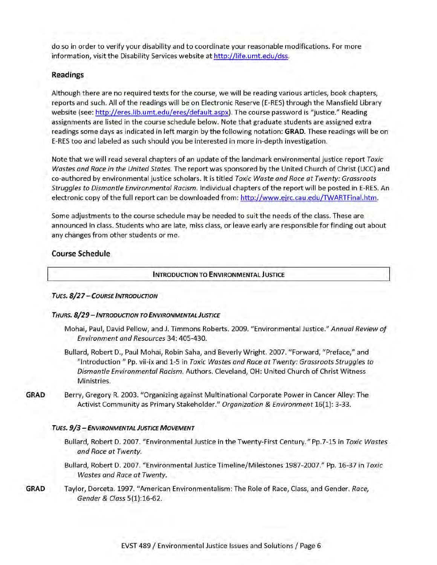do so in order to verify your disability and to coordinate your reasonable modifications. For more information, visit the Disability Services website at http://life.umt.edu/dss.

#### **Readings**

Although there are no required texts for the course, we will be reading various articles, book chapters, reports and such. All of the readings will be on Electronic Reserve (E-RES) through the Mansfield Library website (see: http://eres.lib.umt.edu/eres/default.aspx). The course password is "justice." Reading assignments are listed in the course schedule below. Note that graduate students are assigned extra readings some days as indicated in left margin by the following notation: GRAD. These readings will be on E-RES too and labeled as such should you be interested in more in-depth investigation.

Note that we will read several chapters of an update of the landmark environmental justice report *Toxic Wastes and Race in the United States.* The report was sponsored by the United Church of Christ (UCC) and co-authored by environmental justice scholars. It is titled *Toxic Waste and Race at Twenty: Grassroots Struggles to Dismantle Environmental Racism.* Individual chapters of the report will be posted in E-RES. An electronic copy of the full report can be downloaded from: http://www.ejrc.cau.edu/TWARTFinal.htm.

Some adjustments to the course schedule may be needed to suit the needs of the class. These are announced in class. Students who are late, miss class, or leave early are responsible for finding out about any changes from other students or me.

#### **Course Schedule**

#### **INTRODUCTION TO ENVIRONMENTAL JUSTICE**

#### *Tues. 8 / 2 7 - C o u r s e I n t r o d u c t io n*

#### *Th u r s. 8 /2 9* - *I n t r o d u c t io n to En v ir o n m e n t a l J ustice*

- Mohai, Paul, David Pellow, and J. Timmons Roberts. 2009. "Environmental Justice." Annual Review of *Environment and Resources* 34: 405-430.
- Bullard, Robert D., Paul Mohai, Robin Saha, and Beverly Wright. 2007. "Forward, "Preface," and "Introduction " Pp. vii-ix and 1-5 in *Toxic Wastes and Race a t Twenty: Grassroots Struggles to Dismantle Environmental Racism.* Authors. Cleveland, OH: United Church of Christ Witness Ministries.
- GRAD Berry, Gregory R. 2003. "Organizing against Multinational Corporate Power in Cancer Alley: The Activist Community as Primary Stakeholder." *Organization & Environment* 16(1): 3-33.

#### *Tues. 9 / 3* - *En v ir o n m e n t a l Justice M o v e m e n t*

- Bullard, Robert D. 2007. "Environmental Justice in the Twenty-First Century." Pp.7-15 in *Toxic Wastes and Race at Twenty.*
- Bullard, Robert D. 2007. "Environmental Justice Timeline/Milestones 1987-2007." Pp. 16-37 in *Toxic Wastes and Race at Twenty.*
- GRAD Taylor, Dorceta. 1997. "American Environmentalism: The Role of Race, Class, and Gender. *Race*, *Gender & Class* 5(l):16-62.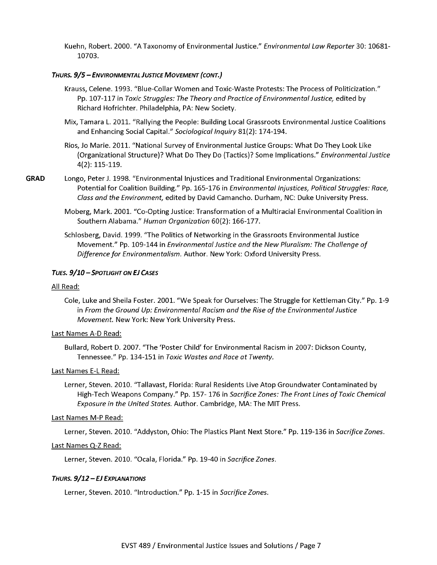Kuehn, Robert. 2000. "A Taxonomy of Environmental Justice." *Environmental Law Reporter* 30: 10681- 10703.

#### *Th u r s. 9 / 5* - *En v ir o n m e n t a l J ustice M o v e m e n t (c o n t.)*

- Krauss, Celene. 1993. "Blue-Collar Women and Toxic-Waste Protests: The Process of Politicization." Pp. 107-117 in *Toxic Struggles: The Theory and Practice of Environmental Justice*, edited by Richard Hofrichter. Philadelphia, PA: New Society.
- Mix, Tamara L. 2011. "Rallying the People: Building Local Grassroots Environmental Justice Coalitions and Enhancing Social Capital." *Sociological Inquiry* 81(2): 174-194.
- Rios, Jo Marie. 2011. "National Survey of Environmental Justice Groups: What Do They Look Like (Organizational Structure)? W hat Do They Do (Tactics)? Some Implications." *Environmental Justice* 4(2): 115-119.
- **GRAD** Longo, Peter J. 1998. "Environmental Injustices and Traditional Environmental Organizations: Potential for Coalition Building." Pp. 165-176 in *Environmental Injustices, Political Struggles: Race, Class and the Environment,* edited by David Camancho. Durham, NC: Duke University Press.
	- Moberg, Mark. 2001. "Co-Opting Justice: Transformation of a Multiracial Environmental Coalition in Southern Alabama." *Human Organization* 60(2): 166-177.
	- Schlosberg, David. 1999. "The Politics of Networking in the Grassroots Environmental Justice Movement." Pp. 109-144 in *Environmental Justice and the New Pluralism: The Challenge of* Difference for Environmentalism. Author. New York: Oxford University Press.

#### *Tues. 9 /1 0* - *Sp o t l ig h t o n EJ Cases*

#### All Read:

Cole, Luke and Sheila Foster. 2001. "We Speak for Ourselves: The Struggle for Kettleman City." Pp. 1-9 in From the Ground Up: Environmental Racism and the Rise of the Environmental Justice *Movement.* New York: New York University Press.

#### Last Names A-D Read:

Bullard, Robert D. 2007. "The 'Poster Child' for Environmental Racism in 2007: Dickson County, Tennessee." Pp. 134-151 in *Toxic Wastes and Race at Twenty.* 

#### Last Names E-L Read:

Lerner, Steven. 2010. "Tallavast, Florida: Rural Residents Live Atop Groundwater Contaminated by High-Tech Weapons Company." Pp. 157- 176 in *Sacrifice Zones: The Front Lines of Toxic Chemical Exposure in the United States.* Author. Cambridge, MA: The MIT Press.

#### Last Names M-P Read:

Lerner, Steven. 2010. "Addyston, Ohio: The Plastics Plant Next Store." Pp. 119-136 in *Sacrifice Zones.*

#### Last Names Q-Z Read:

Lerner, Steven. 2010. "Ocala, Florida." Pp. 19-40 in *Sacrifice Zones.*

#### **THURS. 9/12 - EJ EXPLANATIONS**

Lerner, Steven. 2010. "Introduction." Pp. 1-15 in *Sacrifice Zones.*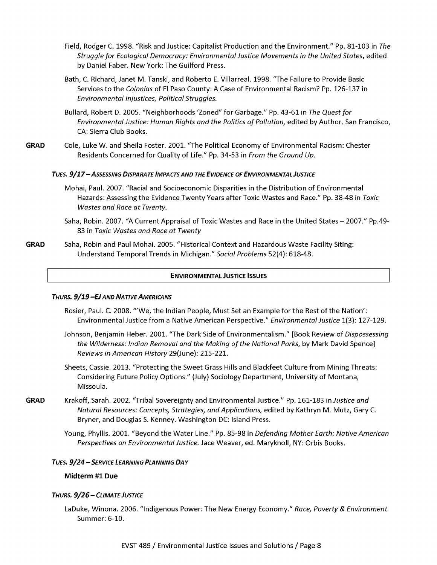- Field, Rodger C. 1998. "Risk and Justice: Capitalist Production and the Environment." Pp. 81-103 in *The Struggle fo r Ecological Democracy: Environmental Justice Movements in the United States,* edited by Daniel Faber. New York: The Guilford Press.
- Bath, C. Richard, Janet M. Tanski, and Roberto E. Villarreal. 1998. "The Failure to Provide Basic Services to the *Colonias* of El Paso County: A Case of Environmental Racism? Pp. 126-137 in *Environmental Injustices, Political Struggles.*
- Bullard, Robert D. 2005. "Neighborhoods 'Zoned" for Garbage." Pp. 43-61 in *The Quest fo r* Environmental Justice: Human Rights and the Politics of Pollution, edited by Author. San Francisco, CA: Sierra Club Books.
- GRAD Cole, Luke W. and Sheila Foster. 2001. "The Political Economy of Environmental Racism: Chester Residents Concerned for Quality of Life." Pp. 34-53 in *From the Ground Up*.

#### TUES. 9/17 - ASSESSING DISPARATE IMPACTS AND THE EVIDENCE OF ENVIRONMENTAL JUSTICE

- Mohai, Paul. 2007. "Racial and Socioeconomic Disparities in the Distribution of Environmental Hazards: Assessing the Evidence Twenty Years after Toxic Wastes and Race." Pp. 38-48 in *Toxic Wastes and Race at Twenty.*
- Saha, Robin. 2007. "A Current Appraisal of Toxic Wastes and Race in the United States 2007." Pp.49-83 in *Toxic Wastes and Race at Twenty*
- GRAD Saha, Robin and Paul Mohai. 2005. "Historical Context and Hazardous Waste Facility Siting: Understand Temporal Trends in Michigan." *Social Problems* 52(4): 618-48.

#### **ENVIRONMENTAL JUSTICE ISSUES**

#### *THURS. 9/19 -EJ AND NATIVE AMERICANS*

- Rosier, Paul. C. 2008. "'We, the Indian People, Must Set an Example for the Rest of the Nation': Environmental Justice from a Native American Perspective." *Environmental Justice* 1(3): 127-129.
- Johnson, Benjamin Heber. 2001. "The Dark Side of Environmentalism." [Book Review of *Dispossessing the Wilderness: Indian Removal and the Making of the National Parks, by Mark David Spence] Reviews in American History* 29(June): 215-221.
- Sheets, Cassie. 2013. "Protecting the Sweet Grass Hills and Blackfeet Culture from Mining Threats: Considering Future Policy Options." (July) Sociology Department, University of Montana, Missoula.
- GRAD Krakoff, Sarah. 2002. "Tribal Sovereignty and Environmental Justice." Pp. 161-183 in *Justice and Natural Resources: Concepts, Strategies, and Applications,* edited by Kathryn M. Mutz, Gary C. Bryner, and Douglas S. Kenney. Washington DC: Island Press.
	- Young, Phyllis. 2001. "Beyond the W ater Line." Pp. 85-98 in *Defending M other Earth: Native American Perspectives on Environmental Justice.* Jace Weaver, ed. Maryknoll, NY: Orbis Books.

#### *Tues. 9 /2 4* - *Service Le a r n in g Pl a n n in g Da y*

#### Midterm #1 Due

#### *Th u r s. 9 / 2 6 - C l im a t e Justice*

LaDuke, Winona. 2006. "Indigenous Power: The New Energy Economy." *Race, Poverty & Environment* Summer: 6-10.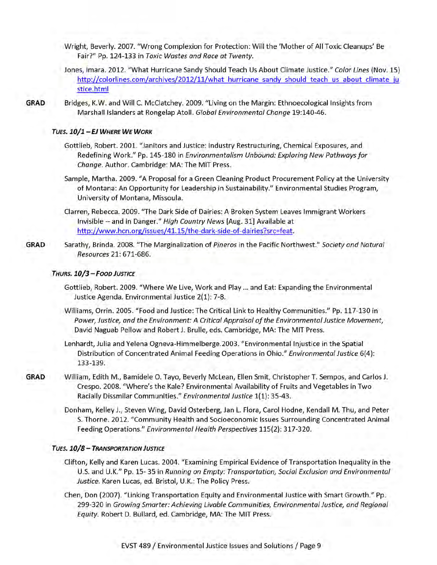- Wright, Beverly. 2007. "Wrong Complexion for Protection: Will the 'Mother of All Toxic Cleanups' Be Fair?" Pp. 124-133 in *Toxic Wastes and Race at Twenty.*
- Jones, Imara. 2012. "W hat Hurricane Sandy Should Teach Us About Climate Justice." *Color Lines* (Nov. 15) http://colorlines.com/archives/2012/11/what hurricane sandy should teach us about climate ju stice.html
- GRAD Bridges, K.W. and Will C. McClatchey. 2009. "Living on the Margin: Ethnoecological Insights from Marshall Islanders at Rongelap Atoll. *Global Environmental Change* 19:140-46.

#### *Tues. 1 0 /1 - EJ W h ere W e W o rk*

- Gottlieb, Robert. 2001. "Janitors and Justice: Industry Restructuring, Chemical Exposures, and Redefining Work." Pp. 145-180 in *Environmentalism Unbound: Exploring New Pathways for Change.* Author. Cambridge: MA: The MIT Press.
- Sample, Martha. 2009. "A Proposal for a Green Cleaning Product Procurement Policy at the University of Montana: An Opportunity for Leadership in Sustainability." Environmental Studies Program, University of Montana, Missoula.
- Clarren, Rebecca. 2009. "The Dark Side of Dairies: A Broken System Leaves Immigrant Workers Invisible -- and in Danger." *High Country News* [Aug. 31] Available at http://www.hcn.org/issues/41.15/the-dark-side-of-dairies?src=feat.
- GRAD Sarathy, Brinda. 2008. "The Marginalization of *Pineros* in the Pacific Northwest." *Society and Natural Resources* 21: 671-686.

#### *Th u r s. 1 0 / 3 - F o o d Justice*

- Gottlieb, Robert. 2009. "Where We Live, Work and Play ... and Eat: Expanding the Environmental Justice Agenda. Environmental Justice 2(1): 7-8.
- Williams, Orrin. 2005. "Food and Justice: The Critical Link to Healthy Communities." Pp. 117-130 in *Power*, *Justice, and the Environment: A Critical Appraisal o f the Environmental Justice Movement,* David Naguab Pellow and Robert J. Brulie, eds. Cambridge, MA: The MIT Press.
- Lenhardt, Julia and Yelena Ogneva-Himmelberge.2003. "Environmental Injustice in the Spatial Distribution of Concentrated Animal Feeding Operations in Ohio." *Environmental Justice* 6(4): 133-139.
- GRAD William, Edith M., Bamidele O. Tayo, Beverly McLean, Ellen Smit, Christopher T. Sempos, and Carlos J. Crespo. 2008. "Where's the Kale? Environmental Availability of Fruits and Vegetables in Two Racially Dissmilar Communities." *Environmental Justice* 1(1): 35-43.
	- Donham, Kelley J., Steven Wing, David Osterberg, Jan L. Flora, Carol Hodne, Kendall M. Thu, and Peter S. Thorne. 2012. "Community Health and Socioeconomic Issues Surrounding Concentrated Animal Feeding Operations." *Environmental Health Perspectives* 115(2): 317-320.

#### *Tues. 1 0 / 8 - T r a n s p o r t a t io n Justice*

- Clifton, Kelly and Karen Lucas. 2004. "Examining Empirical Evidence of Transportation Inequality in the U.S. and U.K." Pp. 15- 35 in *Running on Empty: Transportation, Social Exclusion and Environmental Justice.* Karen Lucas, ed. Bristol, U.K.: The Policy Press.
- Chen, Don (2007). "Linking Transportation Equity and Environmental Justice with Smart Growth." Pp. 299-320 in *Growing Smarter: Achieving Livable Communities, Environmental Justice, and Regional Equity.* Robert D. Bullard, ed. Cambridge, MA: The MIT Press.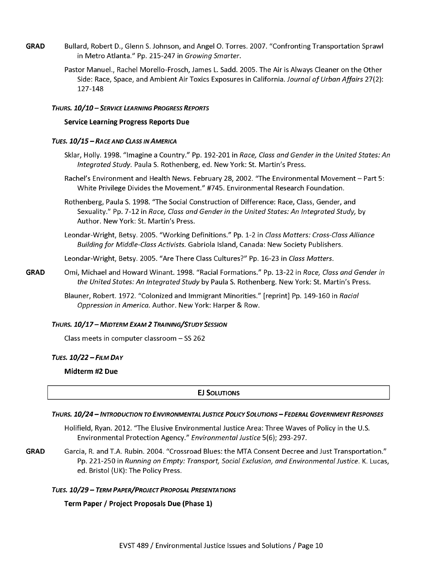- **GRAD** Bullard, Robert D., Glenn S. Johnson, and Angel 0. Torres. 2007. "Confronting Transportation Sprawl in M etro Atlanta." Pp. 215-247 in *Growing Smarter.*
	- Pastor Manuel., Rachel Morello-Frosch, James L. Sadd. 2005. The Air is Always Cleaner on the Other Side: Race, Space, and Ambient Air Toxics Exposures in California. Journal of Urban Affairs 27(2): 127-148

#### *Th u r s. 1 0 /1 0* - *Service Le a r n in g Progress Reports*

#### **Service Learning Progress Reports Due**

#### *TUES.*  $10/15 - R$ *ACE AND CLASS IN AMERICA*

- Sklar, Holly. 1998. "Imagine a Country." Pp. 192-201 in *Race, Class and Gender in the United States: An* Integrated Study. Paula S. Rothenberg, ed. New York: St. Martin's Press.
- Rachel's Environment and Health News. February 28, 2002. "The Environmental Movement Part 5: White Privilege Divides the Movement." #745. Environmental Research Foundation.
- Rothenberg, Paula S. 1998. "The Social Construction of Difference: Race, Class, Gender, and Sexuality." Pp. 7-12 in *Race, Class and Gender in the United States: An Integrated Study,* by Author. New York: St. Martin's Press.
- Leondar-Wright, Betsy. 2005. "W orking Definitions." Pp. 1-2 in *Class M atters: Cross-Class Alliance Building fo r Middle-Class Activists.* Gabriola Island, Canada: New Society Publishers.

Leondar-Wright, Betsy. 2005. "Are There Class Cultures?" Pp. 16-23 in *Class Matters.*

**GRAD** Omi, Michael and Howard Winant. 1998. "Racial Formations." Pp. 13-22 in *Race, Class and Gender in* the United States: An Integrated Study by Paula S. Rothenberg. New York: St. Martin's Press.

> Blauner, Robert. 1972. "Colonized and Immigrant Minorities." [reprint] Pp. 149-160 in *Racial Oppression in America.* Author. New York: Harper & Row.

#### *Th u r s. 1 0 / 1 7 - M id t e r m Ex a m 2 Tr a in in g / S t u d y Sessio n*

Class meets in computer classroom  $-$  SS 262

#### *Tues. 1 0 /2 2* - *Fil m D a y*

**Midterm #2 Due**

#### **EJ SOLUTIONS**

#### THURS. 10/24 - INTRODUCTION TO ENVIRONMENTAL JUSTICE POLICY SOLUTIONS - FEDERAL GOVERNMENT RESPONSES

Holifield, Ryan. 2012. "The Elusive Environmental Justice Area: Three Waves of Policy in the U.S. Environmental Protection Agency." *Environmental Justice* 5(6); 293-297.

**GRAD** Garcia, R. and T.A. Rubin. 2004. "Crossroad Blues: the MTA Consent Decree and Just Transportation." Pp. 221-250 in *Running on Empty: Transport, Social Exclusion, and Environmental Justice.* K. Lucas, ed. Bristol (UK): The Policy Press.

#### *Tues. 1 0 /2 9* - *Te r m Paper/ P roject Proposal Pr esen ta tio n s*

**Term Paper / Project Proposals Due (Phase 1)**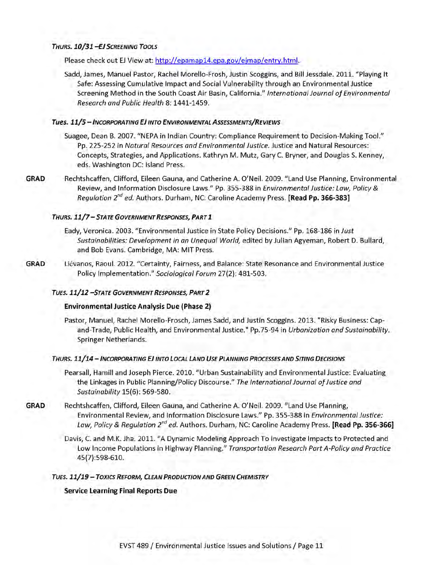#### **THURS. 10/31 -EJ SCREENING TOOLS**

Please check out EJ View at: http://epamap14.epa.gov/ejmap/entry.html.

Sadd, James, Manuel Pastor, Rachel Morello-Frosh, Justin Scoggins, and Bill Jessdale. 2011. "Playing It Safe: Assessing Cumulative Impact and Social Vulnerability through an Environmental Justice Screening Method in the South Coast Air Basin, California." *International Journal of Environmental Research and Public Health* 8: 1441-1459.

#### **Tues. 11/5 - Incorporating EJ into ENVIRONMENTAL Assessments/Reviews**

- Suagee, Dean B. 2007. "NEPA in Indian Country: Compliance Requirement to Decision-Making Tool." Pp. 225-252 in *Natural Resources and Environmental Justice.* Justice and Natural Resources: Concepts, Strategies, and Applications. Kathryn M. Mutz, Gary C. Bryner, and Douglas S. Kenney, eds. Washington DC: Island Press.
- **GRAD** Rechtshcaffen, Clifford, Eileen Gauna, and Catherine A. O'Neil. 2009. "Land Use Planning, Environmental Review, and Information Disclosure Laws." Pp. 355-388 in *Environmental Justice: Law, Policy & Regulation 2nd ed.* Authors. Durham, NC: Caroline Academy Press. **[Read Pp. 366-383]**

#### *Th u r s. 1 1 / 7 - S tate G o v e r n m e n t Responses, Pa r t I*

- Eady, Veronica. 2003. "Environmental Justice in State Policy Decisions." Pp. 168-186 in *Just Sustainabilities: Development in an Unequal World,* edited by Julian Agyeman, Robert D. Bullard, and Bob Evans. Cambridge, MA: MIT Press.
- GRAD Liévanos, Raoul. 2012. "Certainty, Fairness, and Balance: State Resonance and Environmental Justice Policy Implementation." *Sociological Forum* 27(2): 481-503.

#### *Tues. 1 1 / 1 2 - S tate G o v e r n m e n t Responses, Pa r t 2*

#### **Environmental Justice Analysis Due (Phase 2)**

Pastor, Manuel, Rachel Morello-Frosch, James Sadd, and Justin Scoggins. 2013. "Risky Business: Capand-Trade, Public Health, and Environmental Justice." Pp.75-94 in *Urbanization and Sustainability.* Springer Netherlands.

#### THURS. 11/14 - INCORPORATING EJ INTO LOCAL LAND USE PLANNING PROCESSES AND SITING DECISIONS

- Pearsall, Hamill and Joseph Pierce. 2010. "Urban Sustainability and Environmental Justice: Evaluating the Linkages in Public Planning/Policy Discourse." The International Journal of Justice and *Sustainability* 15(6): 569-580.
- **GRAD** Rechtshcaffen, Clifford, Eileen Gauna, and Catherine A. O'Neil. 2009. "Land Use Planning, Environmental Review, and Information Disclosure Laws." Pp. 355-388 in *Environmental Justice: Law, Policy & Regulation 2nd ed.* Authors. Durham, NC: Caroline Academy Press. **[Read Pp. 356-366]**
	- Davis, C. and M.K. Jha. 2011. "A Dynamic Modeling Approach To Investigate Impacts to Protected and Low Income Populations in Highway Planning." *Transportation Research Part A-Policy and Practice* 45(7):598-610.

#### **TUES. 11/19 - TOXICS REFORM, CLEAN PRODUCTION AND GREEN CHEMISTRY**

#### **Service Learning Final Reports Due**